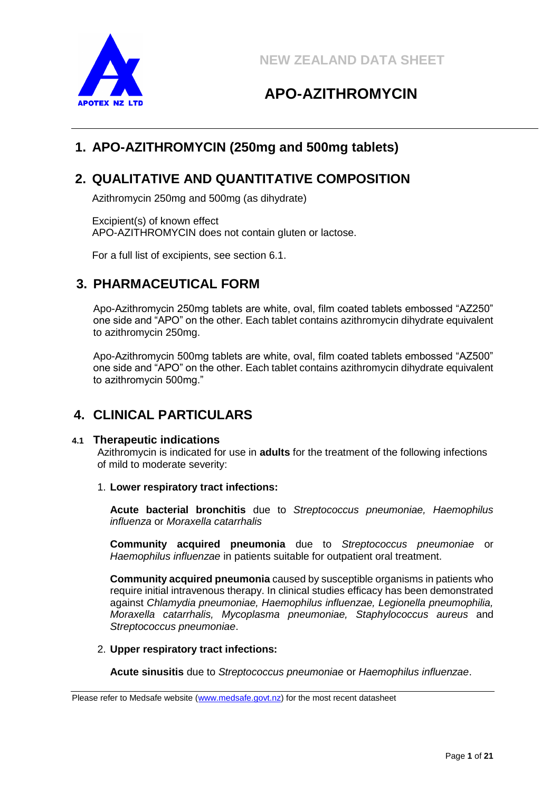



# **1. APO-AZITHROMYCIN (250mg and 500mg tablets)**

# **2. QUALITATIVE AND QUANTITATIVE COMPOSITION**

Azithromycin 250mg and 500mg (as dihydrate)

Excipient(s) of known effect APO-AZITHROMYCIN does not contain gluten or lactose.

For a full list of excipients, see section 6.1.

# **3. PHARMACEUTICAL FORM**

Apo-Azithromycin 250mg tablets are white, oval, film coated tablets embossed "AZ250" one side and "APO" on the other. Each tablet contains azithromycin dihydrate equivalent to azithromycin 250mg.

Apo-Azithromycin 500mg tablets are white, oval, film coated tablets embossed "AZ500" one side and "APO" on the other. Each tablet contains azithromycin dihydrate equivalent to azithromycin 500mg."

# **4. CLINICAL PARTICULARS**

#### **4.1 Therapeutic indications**

Azithromycin is indicated for use in **adults** for the treatment of the following infections of mild to moderate severity:

#### 1. **Lower respiratory tract infections:**

**Acute bacterial bronchitis** due to *Streptococcus pneumoniae, Haemophilus influenza* or *Moraxella catarrhalis*

**Community acquired pneumonia** due to *Streptococcus pneumoniae* or *Haemophilus influenzae* in patients suitable for outpatient oral treatment.

**Community acquired pneumonia** caused by susceptible organisms in patients who require initial intravenous therapy. In clinical studies efficacy has been demonstrated against *Chlamydia pneumoniae, Haemophilus influenzae, Legionella pneumophilia, Moraxella catarrhalis, Mycoplasma pneumoniae, Staphylococcus aureus* and *Streptococcus pneumoniae*.

#### 2. **Upper respiratory tract infections:**

**Acute sinusitis** due to *Streptococcus pneumoniae* or *Haemophilus influenzae*.

Please refer to Medsafe website [\(www.medsafe.govt.nz\)](http://www.medsafe.govt.nz/) for the most recent datasheet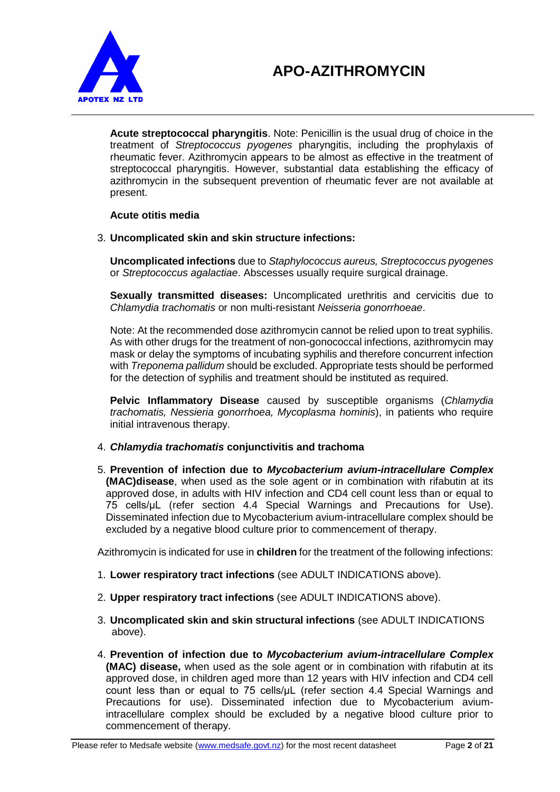

**Acute streptococcal pharyngitis**. Note: Penicillin is the usual drug of choice in the treatment of *Streptococcus pyogenes* pharyngitis, including the prophylaxis of rheumatic fever. Azithromycin appears to be almost as effective in the treatment of streptococcal pharyngitis. However, substantial data establishing the efficacy of azithromycin in the subsequent prevention of rheumatic fever are not available at present.

### **Acute otitis media**

#### 3. **Uncomplicated skin and skin structure infections:**

**Uncomplicated infections** due to *Staphylococcus aureus, Streptococcus pyogenes*  or *Streptococcus agalactiae*. Abscesses usually require surgical drainage.

**Sexually transmitted diseases:** Uncomplicated urethritis and cervicitis due to *Chlamydia trachomatis* or non multi-resistant *Neisseria gonorrhoeae*.

Note: At the recommended dose azithromycin cannot be relied upon to treat syphilis. As with other drugs for the treatment of non-gonococcal infections, azithromycin may mask or delay the symptoms of incubating syphilis and therefore concurrent infection with *Treponema pallidum* should be excluded. Appropriate tests should be performed for the detection of syphilis and treatment should be instituted as required.

**Pelvic Inflammatory Disease** caused by susceptible organisms (*Chlamydia trachomatis, Nessieria gonorrhoea, Mycoplasma hominis*), in patients who require initial intravenous therapy.

#### 4. *Chlamydia trachomatis* **conjunctivitis and trachoma**

5. **Prevention of infection due to** *Mycobacterium avium-intracellulare Complex*  **(MAC)disease**, when used as the sole agent or in combination with rifabutin at its approved dose, in adults with HIV infection and CD4 cell count less than or equal to 75 cells/μL (refer section 4.4 Special Warnings and Precautions for Use). Disseminated infection due to Mycobacterium avium-intracellulare complex should be excluded by a negative blood culture prior to commencement of therapy.

Azithromycin is indicated for use in **children** for the treatment of the following infections:

- 1. **Lower respiratory tract infections** (see ADULT INDICATIONS above).
- 2. **Upper respiratory tract infections** (see ADULT INDICATIONS above).
- 3. **Uncomplicated skin and skin structural infections** (see ADULT INDICATIONS above).
- 4. **Prevention of infection due to** *Mycobacterium avium-intracellulare Complex*  **(MAC) disease,** when used as the sole agent or in combination with rifabutin at its approved dose, in children aged more than 12 years with HIV infection and CD4 cell count less than or equal to 75 cells/μL (refer section 4.4 Special Warnings and Precautions for use). Disseminated infection due to Mycobacterium aviumintracellulare complex should be excluded by a negative blood culture prior to commencement of therapy.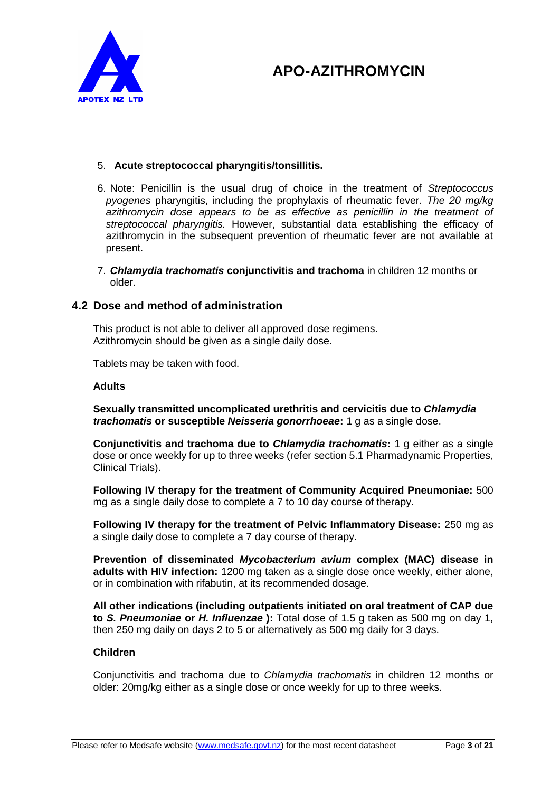

#### 5. **Acute streptococcal pharyngitis/tonsillitis.**

- 6. Note: Penicillin is the usual drug of choice in the treatment of *Streptococcus pyogenes* pharyngitis, including the prophylaxis of rheumatic fever. *The 20 mg/kg*  azithromycin dose appears to be as effective as penicillin in the treatment of *streptococcal pharyngitis.* However, substantial data establishing the efficacy of azithromycin in the subsequent prevention of rheumatic fever are not available at present.
- 7. *Chlamydia trachomatis* **conjunctivitis and trachoma** in children 12 months or older.

## **4.2 Dose and method of administration**

This product is not able to deliver all approved dose regimens. Azithromycin should be given as a single daily dose.

Tablets may be taken with food.

#### **Adults**

**Sexually transmitted uncomplicated urethritis and cervicitis due to** *Chlamydia trachomatis* **or susceptible** *Neisseria gonorrhoeae***:** 1 g as a single dose.

**Conjunctivitis and trachoma due to** *Chlamydia trachomatis***:** 1 g either as a single dose or once weekly for up to three weeks (refer section 5.1 Pharmadynamic Properties, Clinical Trials).

**Following IV therapy for the treatment of Community Acquired Pneumoniae:** 500 mg as a single daily dose to complete a 7 to 10 day course of therapy.

**Following IV therapy for the treatment of Pelvic Inflammatory Disease:** 250 mg as a single daily dose to complete a 7 day course of therapy.

**Prevention of disseminated** *Mycobacterium avium* **complex (MAC) disease in adults with HIV infection:** 1200 mg taken as a single dose once weekly, either alone, or in combination with rifabutin, at its recommended dosage.

**All other indications (including outpatients initiated on oral treatment of CAP due to** *S. Pneumoniae* **or** *H. Influenzae* **):** Total dose of 1.5 g taken as 500 mg on day 1, then 250 mg daily on days 2 to 5 or alternatively as 500 mg daily for 3 days.

#### **Children**

Conjunctivitis and trachoma due to *Chlamydia trachomatis* in children 12 months or older: 20mg/kg either as a single dose or once weekly for up to three weeks.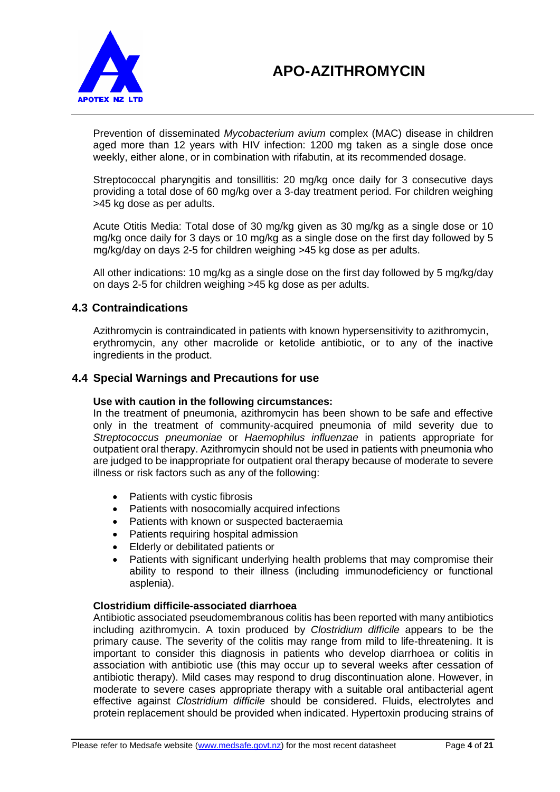

Prevention of disseminated *Mycobacterium avium* complex (MAC) disease in children aged more than 12 years with HIV infection: 1200 mg taken as a single dose once weekly, either alone, or in combination with rifabutin, at its recommended dosage.

Streptococcal pharyngitis and tonsillitis: 20 mg/kg once daily for 3 consecutive days providing a total dose of 60 mg/kg over a 3-day treatment period. For children weighing >45 kg dose as per adults.

Acute Otitis Media: Total dose of 30 mg/kg given as 30 mg/kg as a single dose or 10 mg/kg once daily for 3 days or 10 mg/kg as a single dose on the first day followed by 5 mg/kg/day on days 2-5 for children weighing >45 kg dose as per adults.

All other indications: 10 mg/kg as a single dose on the first day followed by 5 mg/kg/day on days 2-5 for children weighing >45 kg dose as per adults.

### **4.3 Contraindications**

Azithromycin is contraindicated in patients with known hypersensitivity to azithromycin, erythromycin, any other macrolide or ketolide antibiotic, or to any of the inactive ingredients in the product.

### **4.4 Special Warnings and Precautions for use**

#### **Use with caution in the following circumstances:**

In the treatment of pneumonia, azithromycin has been shown to be safe and effective only in the treatment of community-acquired pneumonia of mild severity due to *Streptococcus pneumoniae* or *Haemophilus influenzae* in patients appropriate for outpatient oral therapy. Azithromycin should not be used in patients with pneumonia who are judged to be inappropriate for outpatient oral therapy because of moderate to severe illness or risk factors such as any of the following:

- Patients with cystic fibrosis
- Patients with nosocomially acquired infections
- Patients with known or suspected bacteraemia
- Patients requiring hospital admission
- Elderly or debilitated patients or
- Patients with significant underlying health problems that may compromise their ability to respond to their illness (including immunodeficiency or functional asplenia).

#### **Clostridium difficile-associated diarrhoea**

Antibiotic associated pseudomembranous colitis has been reported with many antibiotics including azithromycin. A toxin produced by *Clostridium difficile* appears to be the primary cause. The severity of the colitis may range from mild to life-threatening. It is important to consider this diagnosis in patients who develop diarrhoea or colitis in association with antibiotic use (this may occur up to several weeks after cessation of antibiotic therapy). Mild cases may respond to drug discontinuation alone. However, in moderate to severe cases appropriate therapy with a suitable oral antibacterial agent effective against *Clostridium difficile* should be considered. Fluids, electrolytes and protein replacement should be provided when indicated. Hypertoxin producing strains of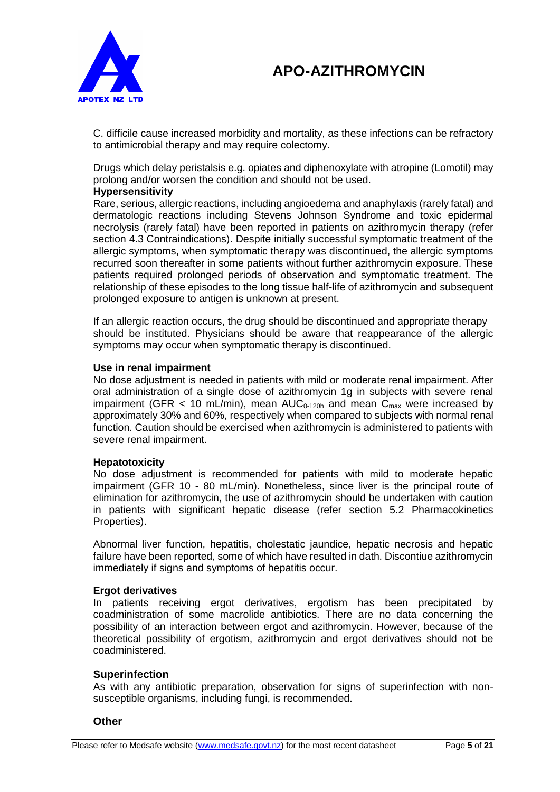



C. difficile cause increased morbidity and mortality, as these infections can be refractory to antimicrobial therapy and may require colectomy.

Drugs which delay peristalsis e.g. opiates and diphenoxylate with atropine (Lomotil) may prolong and/or worsen the condition and should not be used.

#### **Hypersensitivity**

Rare, serious, allergic reactions, including angioedema and anaphylaxis (rarely fatal) and dermatologic reactions including Stevens Johnson Syndrome and toxic epidermal necrolysis (rarely fatal) have been reported in patients on azithromycin therapy (refer section 4.3 Contraindications). Despite initially successful symptomatic treatment of the allergic symptoms, when symptomatic therapy was discontinued, the allergic symptoms recurred soon thereafter in some patients without further azithromycin exposure. These patients required prolonged periods of observation and symptomatic treatment. The relationship of these episodes to the long tissue half-life of azithromycin and subsequent prolonged exposure to antigen is unknown at present.

If an allergic reaction occurs, the drug should be discontinued and appropriate therapy should be instituted. Physicians should be aware that reappearance of the allergic symptoms may occur when symptomatic therapy is discontinued.

#### **Use in renal impairment**

No dose adjustment is needed in patients with mild or moderate renal impairment. After oral administration of a single dose of azithromycin 1g in subjects with severe renal impairment (GFR < 10 mL/min), mean  $AUC_{0-120h}$  and mean  $C_{max}$  were increased by approximately 30% and 60%, respectively when compared to subjects with normal renal function. Caution should be exercised when azithromycin is administered to patients with severe renal impairment.

#### **Hepatotoxicity**

No dose adjustment is recommended for patients with mild to moderate hepatic impairment (GFR 10 - 80 mL/min). Nonetheless, since liver is the principal route of elimination for azithromycin, the use of azithromycin should be undertaken with caution in patients with significant hepatic disease (refer section 5.2 Pharmacokinetics Properties).

Abnormal liver function, hepatitis, cholestatic jaundice, hepatic necrosis and hepatic failure have been reported, some of which have resulted in dath. Discontiue azithromycin immediately if signs and symptoms of hepatitis occur.

#### **Ergot derivatives**

In patients receiving ergot derivatives, ergotism has been precipitated by coadministration of some macrolide antibiotics. There are no data concerning the possibility of an interaction between ergot and azithromycin. However, because of the theoretical possibility of ergotism, azithromycin and ergot derivatives should not be coadministered.

#### **Superinfection**

As with any antibiotic preparation, observation for signs of superinfection with nonsusceptible organisms, including fungi, is recommended.

#### **Other**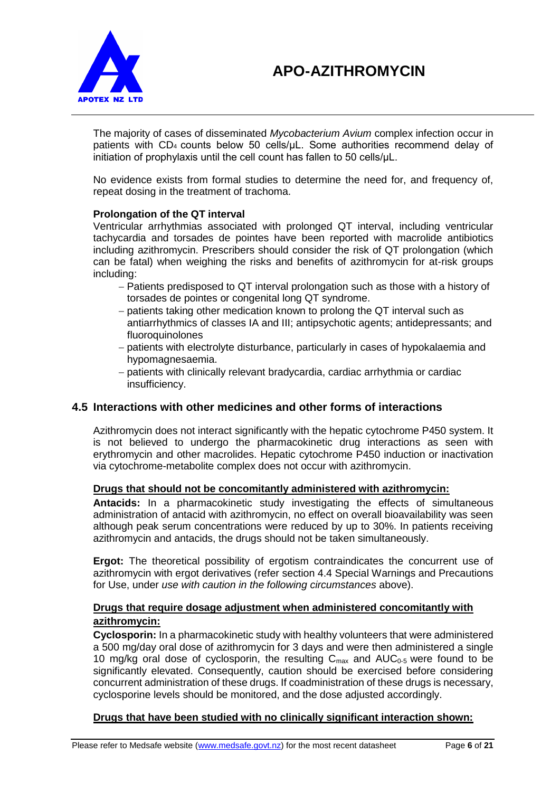

The majority of cases of disseminated *Mycobacterium Avium* complex infection occur in patients with CD4 counts below 50 cells/μL. Some authorities recommend delay of initiation of prophylaxis until the cell count has fallen to 50 cells/μL.

No evidence exists from formal studies to determine the need for, and frequency of, repeat dosing in the treatment of trachoma.

#### **Prolongation of the QT interval**

Ventricular arrhythmias associated with prolonged QT interval, including ventricular tachycardia and torsades de pointes have been reported with macrolide antibiotics including azithromycin. Prescribers should consider the risk of QT prolongation (which can be fatal) when weighing the risks and benefits of azithromycin for at-risk groups including:

- Patients predisposed to QT interval prolongation such as those with a history of torsades de pointes or congenital long QT syndrome.
- patients taking other medication known to prolong the QT interval such as antiarrhythmics of classes IA and III; antipsychotic agents; antidepressants; and fluoroquinolones
- patients with electrolyte disturbance, particularly in cases of hypokalaemia and hypomagnesaemia.
- patients with clinically relevant bradycardia, cardiac arrhythmia or cardiac insufficiency.

#### **4.5 Interactions with other medicines and other forms of interactions**

Azithromycin does not interact significantly with the hepatic cytochrome P450 system. It is not believed to undergo the pharmacokinetic drug interactions as seen with erythromycin and other macrolides. Hepatic cytochrome P450 induction or inactivation via cytochrome-metabolite complex does not occur with azithromycin.

#### **Drugs that should not be concomitantly administered with azithromycin:**

**Antacids:** In a pharmacokinetic study investigating the effects of simultaneous administration of antacid with azithromycin, no effect on overall bioavailability was seen although peak serum concentrations were reduced by up to 30%. In patients receiving azithromycin and antacids, the drugs should not be taken simultaneously.

**Ergot:** The theoretical possibility of ergotism contraindicates the concurrent use of azithromycin with ergot derivatives (refer section 4.4 Special Warnings and Precautions for Use, under *use with caution in the following circumstances* above).

### **Drugs that require dosage adjustment when administered concomitantly with azithromycin:**

**Cyclosporin:** In a pharmacokinetic study with healthy volunteers that were administered a 500 mg/day oral dose of azithromycin for 3 days and were then administered a single 10 mg/kg oral dose of cyclosporin, the resulting  $C_{\text{max}}$  and  $AUC_{0.5}$  were found to be significantly elevated. Consequently, caution should be exercised before considering concurrent administration of these drugs. If coadministration of these drugs is necessary, cyclosporine levels should be monitored, and the dose adjusted accordingly.

#### **Drugs that have been studied with no clinically significant interaction shown:**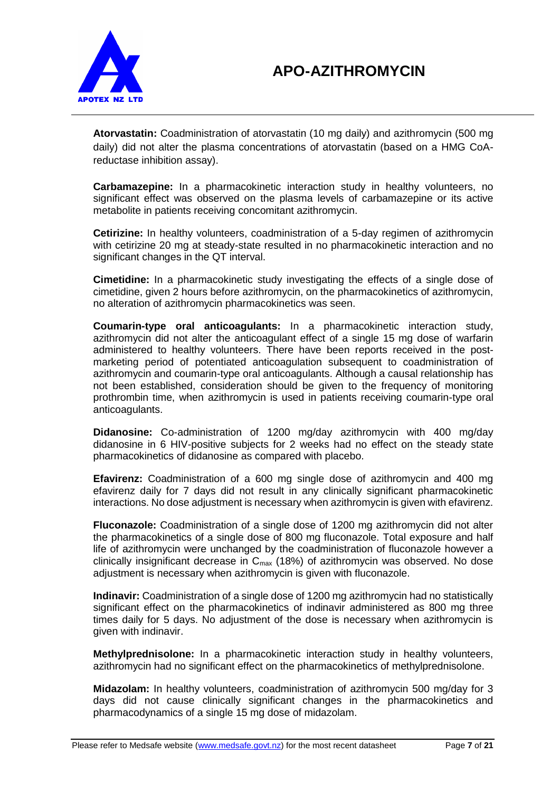

**Atorvastatin:** Coadministration of atorvastatin (10 mg daily) and azithromycin (500 mg daily) did not alter the plasma concentrations of atorvastatin (based on a HMG CoAreductase inhibition assay).

**Carbamazepine:** In a pharmacokinetic interaction study in healthy volunteers, no significant effect was observed on the plasma levels of carbamazepine or its active metabolite in patients receiving concomitant azithromycin.

**Cetirizine:** In healthy volunteers, coadministration of a 5-day regimen of azithromycin with cetirizine 20 mg at steady-state resulted in no pharmacokinetic interaction and no significant changes in the QT interval.

**Cimetidine:** In a pharmacokinetic study investigating the effects of a single dose of cimetidine, given 2 hours before azithromycin, on the pharmacokinetics of azithromycin, no alteration of azithromycin pharmacokinetics was seen.

**Coumarin-type oral anticoagulants:** In a pharmacokinetic interaction study, azithromycin did not alter the anticoagulant effect of a single 15 mg dose of warfarin administered to healthy volunteers. There have been reports received in the postmarketing period of potentiated anticoagulation subsequent to coadministration of azithromycin and coumarin-type oral anticoagulants. Although a causal relationship has not been established, consideration should be given to the frequency of monitoring prothrombin time, when azithromycin is used in patients receiving coumarin-type oral anticoagulants.

**Didanosine:** Co-administration of 1200 mg/day azithromycin with 400 mg/day didanosine in 6 HIV-positive subjects for 2 weeks had no effect on the steady state pharmacokinetics of didanosine as compared with placebo.

**Efavirenz:** Coadministration of a 600 mg single dose of azithromycin and 400 mg efavirenz daily for 7 days did not result in any clinically significant pharmacokinetic interactions. No dose adjustment is necessary when azithromycin is given with efavirenz.

**Fluconazole:** Coadministration of a single dose of 1200 mg azithromycin did not alter the pharmacokinetics of a single dose of 800 mg fluconazole. Total exposure and half life of azithromycin were unchanged by the coadministration of fluconazole however a clinically insignificant decrease in  $C_{\text{max}}$  (18%) of azithromycin was observed. No dose adjustment is necessary when azithromycin is given with fluconazole.

**Indinavir:** Coadministration of a single dose of 1200 mg azithromycin had no statistically significant effect on the pharmacokinetics of indinavir administered as 800 mg three times daily for 5 days. No adjustment of the dose is necessary when azithromycin is given with indinavir.

**Methylprednisolone:** In a pharmacokinetic interaction study in healthy volunteers, azithromycin had no significant effect on the pharmacokinetics of methylprednisolone.

**Midazolam:** In healthy volunteers, coadministration of azithromycin 500 mg/day for 3 days did not cause clinically significant changes in the pharmacokinetics and pharmacodynamics of a single 15 mg dose of midazolam.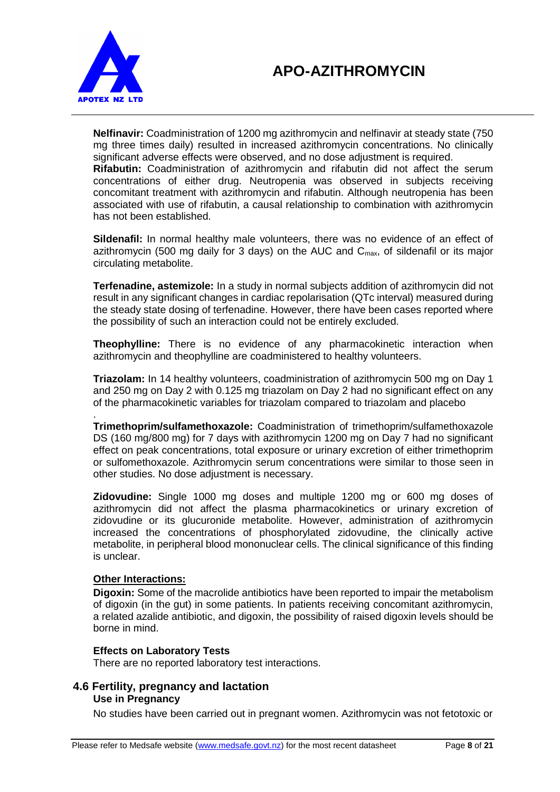

**Nelfinavir:** Coadministration of 1200 mg azithromycin and nelfinavir at steady state (750 mg three times daily) resulted in increased azithromycin concentrations. No clinically significant adverse effects were observed, and no dose adjustment is required.

**Rifabutin:** Coadministration of azithromycin and rifabutin did not affect the serum concentrations of either drug. Neutropenia was observed in subjects receiving concomitant treatment with azithromycin and rifabutin. Although neutropenia has been associated with use of rifabutin, a causal relationship to combination with azithromycin has not been established.

**Sildenafil:** In normal healthy male volunteers, there was no evidence of an effect of azithromycin (500 mg daily for 3 days) on the AUC and  $C_{\text{max}}$ , of sildenafil or its major circulating metabolite.

**Terfenadine, astemizole:** In a study in normal subjects addition of azithromycin did not result in any significant changes in cardiac repolarisation (QTc interval) measured during the steady state dosing of terfenadine. However, there have been cases reported where the possibility of such an interaction could not be entirely excluded.

**Theophylline:** There is no evidence of any pharmacokinetic interaction when azithromycin and theophylline are coadministered to healthy volunteers.

**Triazolam:** In 14 healthy volunteers, coadministration of azithromycin 500 mg on Day 1 and 250 mg on Day 2 with 0.125 mg triazolam on Day 2 had no significant effect on any of the pharmacokinetic variables for triazolam compared to triazolam and placebo

. **Trimethoprim/sulfamethoxazole:** Coadministration of trimethoprim/sulfamethoxazole DS (160 mg/800 mg) for 7 days with azithromycin 1200 mg on Day 7 had no significant effect on peak concentrations, total exposure or urinary excretion of either trimethoprim or sulfomethoxazole. Azithromycin serum concentrations were similar to those seen in other studies. No dose adjustment is necessary.

**Zidovudine:** Single 1000 mg doses and multiple 1200 mg or 600 mg doses of azithromycin did not affect the plasma pharmacokinetics or urinary excretion of zidovudine or its glucuronide metabolite. However, administration of azithromycin increased the concentrations of phosphorylated zidovudine, the clinically active metabolite, in peripheral blood mononuclear cells. The clinical significance of this finding is unclear.

## **Other Interactions:**

**Digoxin:** Some of the macrolide antibiotics have been reported to impair the metabolism of digoxin (in the gut) in some patients. In patients receiving concomitant azithromycin, a related azalide antibiotic, and digoxin, the possibility of raised digoxin levels should be borne in mind.

#### **Effects on Laboratory Tests**

There are no reported laboratory test interactions.

#### **4.6 Fertility, pregnancy and lactation Use in Pregnancy**

No studies have been carried out in pregnant women. Azithromycin was not fetotoxic or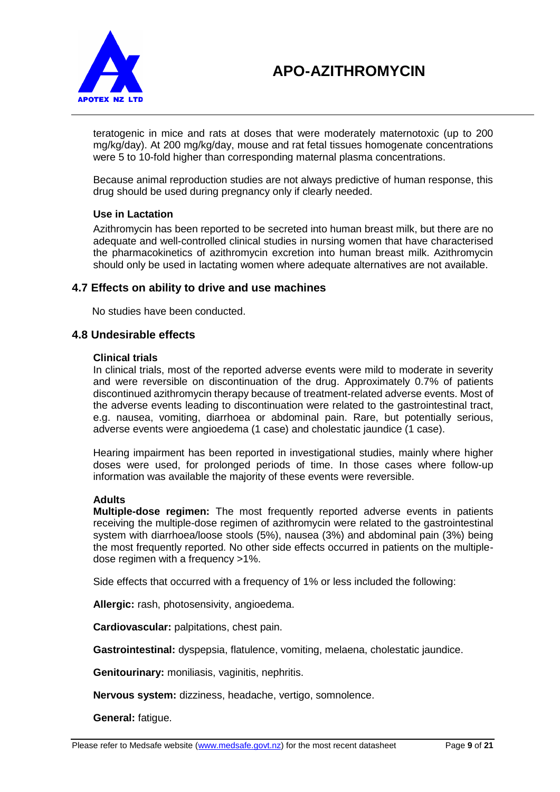

teratogenic in mice and rats at doses that were moderately maternotoxic (up to 200 mg/kg/day). At 200 mg/kg/day, mouse and rat fetal tissues homogenate concentrations were 5 to 10-fold higher than corresponding maternal plasma concentrations.

Because animal reproduction studies are not always predictive of human response, this drug should be used during pregnancy only if clearly needed.

#### **Use in Lactation**

Azithromycin has been reported to be secreted into human breast milk, but there are no adequate and well-controlled clinical studies in nursing women that have characterised the pharmacokinetics of azithromycin excretion into human breast milk. Azithromycin should only be used in lactating women where adequate alternatives are not available.

#### **4.7 Effects on ability to drive and use machines**

No studies have been conducted.

### **4.8 Undesirable effects**

#### **Clinical trials**

In clinical trials, most of the reported adverse events were mild to moderate in severity and were reversible on discontinuation of the drug. Approximately 0.7% of patients discontinued azithromycin therapy because of treatment-related adverse events. Most of the adverse events leading to discontinuation were related to the gastrointestinal tract, e.g. nausea, vomiting, diarrhoea or abdominal pain. Rare, but potentially serious, adverse events were angioedema (1 case) and cholestatic jaundice (1 case).

Hearing impairment has been reported in investigational studies, mainly where higher doses were used, for prolonged periods of time. In those cases where follow-up information was available the majority of these events were reversible.

#### **Adults**

**Multiple-dose regimen:** The most frequently reported adverse events in patients receiving the multiple-dose regimen of azithromycin were related to the gastrointestinal system with diarrhoea/loose stools (5%), nausea (3%) and abdominal pain (3%) being the most frequently reported. No other side effects occurred in patients on the multipledose regimen with a frequency >1%.

Side effects that occurred with a frequency of 1% or less included the following:

**Allergic:** rash, photosensivity, angioedema.

**Cardiovascular:** palpitations, chest pain.

**Gastrointestinal:** dyspepsia, flatulence, vomiting, melaena, cholestatic jaundice.

**Genitourinary:** moniliasis, vaginitis, nephritis.

**Nervous system:** dizziness, headache, vertigo, somnolence.

**General:** fatigue.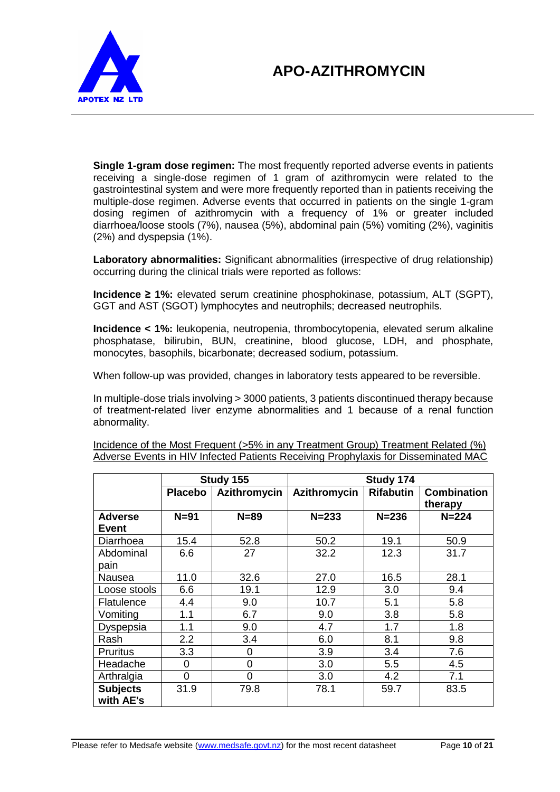

**Single 1-gram dose regimen:** The most frequently reported adverse events in patients receiving a single-dose regimen of 1 gram of azithromycin were related to the gastrointestinal system and were more frequently reported than in patients receiving the multiple-dose regimen. Adverse events that occurred in patients on the single 1-gram dosing regimen of azithromycin with a frequency of 1% or greater included diarrhoea/loose stools (7%), nausea (5%), abdominal pain (5%) vomiting (2%), vaginitis (2%) and dyspepsia (1%).

**Laboratory abnormalities:** Significant abnormalities (irrespective of drug relationship) occurring during the clinical trials were reported as follows:

**Incidence ≥ 1%:** elevated serum creatinine phosphokinase, potassium, ALT (SGPT), GGT and AST (SGOT) lymphocytes and neutrophils; decreased neutrophils.

**Incidence < 1%:** leukopenia, neutropenia, thrombocytopenia, elevated serum alkaline phosphatase, bilirubin, BUN, creatinine, blood glucose, LDH, and phosphate, monocytes, basophils, bicarbonate; decreased sodium, potassium.

When follow-up was provided, changes in laboratory tests appeared to be reversible.

In multiple-dose trials involving > 3000 patients, 3 patients discontinued therapy because of treatment-related liver enzyme abnormalities and 1 because of a renal function abnormality.

|                              | Study 155      |              | Study 174    |                  |                               |
|------------------------------|----------------|--------------|--------------|------------------|-------------------------------|
|                              | <b>Placebo</b> | Azithromycin | Azithromycin | <b>Rifabutin</b> | <b>Combination</b><br>therapy |
| <b>Adverse</b><br>Event      | $N=91$         | $N = 89$     | $N = 233$    | $N = 236$        | $N = 224$                     |
| Diarrhoea                    | 15.4           | 52.8         | 50.2         | 19.1             | 50.9                          |
| Abdominal<br>pain            | 6.6            | 27           | 32.2         | 12.3             | 31.7                          |
| Nausea                       | 11.0           | 32.6         | 27.0         | 16.5             | 28.1                          |
| Loose stools                 | 6.6            | 19.1         | 12.9         | 3.0              | 9.4                           |
| Flatulence                   | 4.4            | 9.0          | 10.7         | 5.1              | 5.8                           |
| Vomiting                     | 1.1            | 6.7          | 9.0          | 3.8              | 5.8                           |
| Dyspepsia                    | 1.1            | 9.0          | 4.7          | 1.7              | 1.8                           |
| Rash                         | 2.2            | 3.4          | 6.0          | 8.1              | 9.8                           |
| <b>Pruritus</b>              | 3.3            | 0            | 3.9          | 3.4              | 7.6                           |
| Headache                     | 0              | 0            | 3.0          | 5.5              | 4.5                           |
| Arthralgia                   | 0              | 0            | 3.0          | 4.2              | 7.1                           |
| <b>Subjects</b><br>with AE's | 31.9           | 79.8         | 78.1         | 59.7             | 83.5                          |

Incidence of the Most Frequent (>5% in any Treatment Group) Treatment Related (%) Adverse Events in HIV Infected Patients Receiving Prophylaxis for Disseminated MAC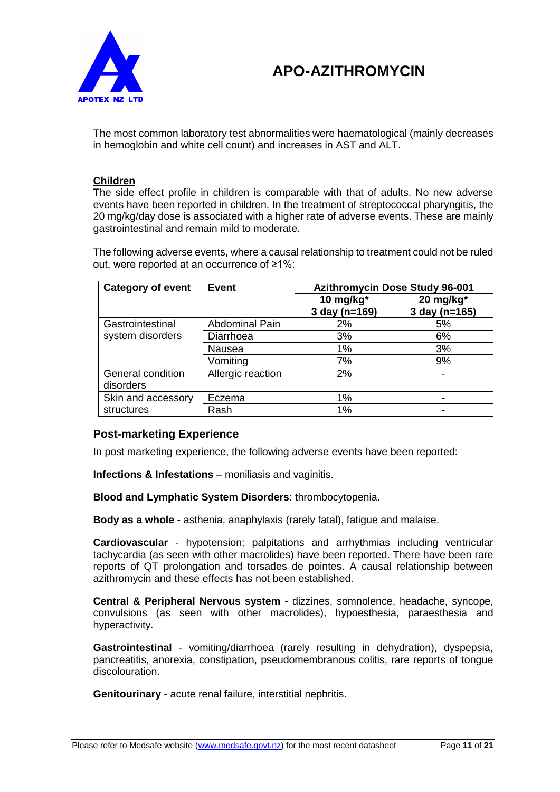

The most common laboratory test abnormalities were haematological (mainly decreases in hemoglobin and white cell count) and increases in AST and ALT.

### **Children**

The side effect profile in children is comparable with that of adults. No new adverse events have been reported in children. In the treatment of streptococcal pharyngitis, the 20 mg/kg/day dose is associated with a higher rate of adverse events. These are mainly gastrointestinal and remain mild to moderate.

The following adverse events, where a causal relationship to treatment could not be ruled out, were reported at an occurrence of ≥1%:

| <b>Category of event</b><br><b>Event</b> |                       | <b>Azithromycin Dose Study 96-001</b> |               |
|------------------------------------------|-----------------------|---------------------------------------|---------------|
|                                          |                       | 10 mg/kg*                             | 20 mg/kg*     |
|                                          |                       | 3 day (n=169)                         | 3 day (n=165) |
| Gastrointestinal                         | <b>Abdominal Pain</b> | 2%                                    | 5%            |
| system disorders                         | Diarrhoea             | 3%                                    | 6%            |
|                                          | Nausea                | 1%                                    | 3%            |
|                                          | Vomiting              | 7%                                    | 9%            |
| General condition                        | Allergic reaction     | 2%                                    |               |
| disorders                                |                       |                                       |               |
| Skin and accessory                       | Eczema                | 1%                                    |               |
| structures                               | Rash                  | 1%                                    |               |

## **Post-marketing Experience**

In post marketing experience, the following adverse events have been reported:

**Infections & Infestations** – moniliasis and vaginitis.

**Blood and Lymphatic System Disorders**: thrombocytopenia.

**Body as a whole** - asthenia, anaphylaxis (rarely fatal), fatigue and malaise.

**Cardiovascular** - hypotension; palpitations and arrhythmias including ventricular tachycardia (as seen with other macrolides) have been reported. There have been rare reports of QT prolongation and torsades de pointes. A causal relationship between azithromycin and these effects has not been established.

**Central & Peripheral Nervous system** - dizzines, somnolence, headache, syncope, convulsions (as seen with other macrolides), hypoesthesia, paraesthesia and hyperactivity.

**Gastrointestinal** - vomiting/diarrhoea (rarely resulting in dehydration), dyspepsia, pancreatitis, anorexia, constipation, pseudomembranous colitis, rare reports of tongue discolouration.

**Genitourinary** - acute renal failure, interstitial nephritis.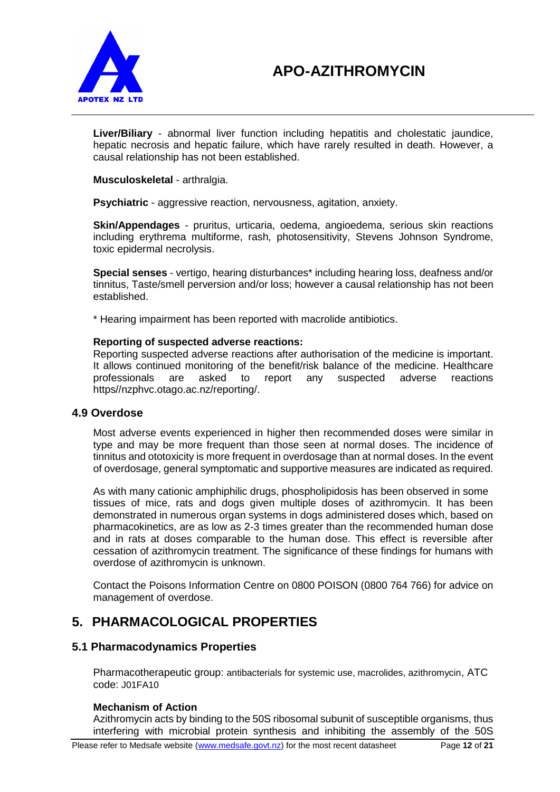

**Liver/Biliary** - abnormal liver function including hepatitis and cholestatic jaundice, hepatic necrosis and hepatic failure, which have rarely resulted in death. However, a causal relationship has not been established.

**Musculoskeletal** - arthralgia.

**Psychiatric** - aggressive reaction, nervousness, agitation, anxiety.

**Skin/Appendages** - pruritus, urticaria, oedema, angioedema, serious skin reactions including erythrema multiforme, rash, photosensitivity, Stevens Johnson Syndrome, toxic epidermal necrolysis.

**Special senses** - vertigo, hearing disturbances\* including hearing loss, deafness and/or tinnitus, Taste/smell perversion and/or loss; however a causal relationship has not been established.

\* Hearing impairment has been reported with macrolide antibiotics.

#### **Reporting of suspected adverse reactions:**

Reporting suspected adverse reactions after authorisation of the medicine is important. It allows continued monitoring of the benefit/risk balance of the medicine. Healthcare professionals are asked to report any suspected adverse reactions https//nzphvc.otago.ac.nz/reporting/.

#### **4.9 Overdose**

Most adverse events experienced in higher then recommended doses were similar in type and may be more frequent than those seen at normal doses. The incidence of tinnitus and ototoxicity is more frequent in overdosage than at normal doses. In the event of overdosage, general symptomatic and supportive measures are indicated as required.

As with many cationic amphiphilic drugs, phospholipidosis has been observed in some tissues of mice, rats and dogs given multiple doses of azithromycin. It has been demonstrated in numerous organ systems in dogs administered doses which, based on pharmacokinetics, are as low as 2-3 times greater than the recommended human dose and in rats at doses comparable to the human dose. This effect is reversible after cessation of azithromycin treatment. The significance of these findings for humans with overdose of azithromycin is unknown.

Contact the Poisons Information Centre on 0800 POISON (0800 764 766) for advice on management of overdose.

# **5. PHARMACOLOGICAL PROPERTIES**

#### **5.1 Pharmacodynamics Properties**

Pharmacotherapeutic group: antibacterials for systemic use, macrolides, azithromycin, ATC code: J01FA10

#### **Mechanism of Action**

Azithromycin acts by binding to the 50S ribosomal subunit of susceptible organisms, thus interfering with microbial protein synthesis and inhibiting the assembly of the 50S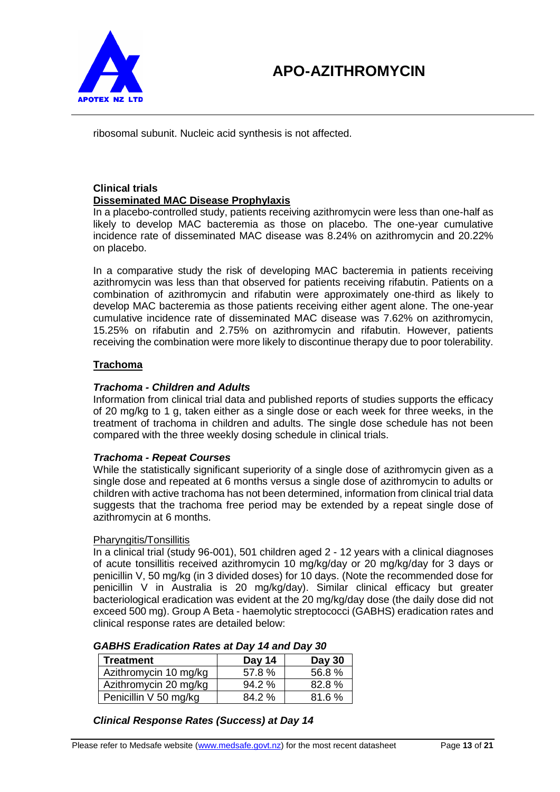

ribosomal subunit. Nucleic acid synthesis is not affected.

## **Clinical trials Disseminated MAC Disease Prophylaxis**

In a placebo-controlled study, patients receiving azithromycin were less than one-half as likely to develop MAC bacteremia as those on placebo. The one-year cumulative incidence rate of disseminated MAC disease was 8.24% on azithromycin and 20.22% on placebo.

In a comparative study the risk of developing MAC bacteremia in patients receiving azithromycin was less than that observed for patients receiving rifabutin. Patients on a combination of azithromycin and rifabutin were approximately one-third as likely to develop MAC bacteremia as those patients receiving either agent alone. The one-year cumulative incidence rate of disseminated MAC disease was 7.62% on azithromycin, 15.25% on rifabutin and 2.75% on azithromycin and rifabutin. However, patients receiving the combination were more likely to discontinue therapy due to poor tolerability.

### **Trachoma**

### *Trachoma - Children and Adults*

Information from clinical trial data and published reports of studies supports the efficacy of 20 mg/kg to 1 g, taken either as a single dose or each week for three weeks, in the treatment of trachoma in children and adults. The single dose schedule has not been compared with the three weekly dosing schedule in clinical trials.

#### *Trachoma - Repeat Courses*

While the statistically significant superiority of a single dose of azithromycin given as a single dose and repeated at 6 months versus a single dose of azithromycin to adults or children with active trachoma has not been determined, information from clinical trial data suggests that the trachoma free period may be extended by a repeat single dose of azithromycin at 6 months.

#### Pharyngitis/Tonsillitis

In a clinical trial (study 96-001), 501 children aged 2 - 12 years with a clinical diagnoses of acute tonsillitis received azithromycin 10 mg/kg/day or 20 mg/kg/day for 3 days or penicillin V, 50 mg/kg (in 3 divided doses) for 10 days. (Note the recommended dose for penicillin V in Australia is 20 mg/kg/day). Similar clinical efficacy but greater bacteriological eradication was evident at the 20 mg/kg/day dose (the daily dose did not exceed 500 mg). Group A Beta - haemolytic streptococci (GABHS) eradication rates and clinical response rates are detailed below:

| <b>Treatment</b>      | Day 14   | Day 30 |
|-----------------------|----------|--------|
| Azithromycin 10 mg/kg | 57.8%    | 56.8%  |
| Azithromycin 20 mg/kg | $94.2\%$ | 82.8%  |
| Penicillin V 50 mg/kg | 84.2%    | 81.6%  |

### *GABHS Eradication Rates at Day 14 and Day 30*

#### *Clinical Response Rates (Success) at Day 14*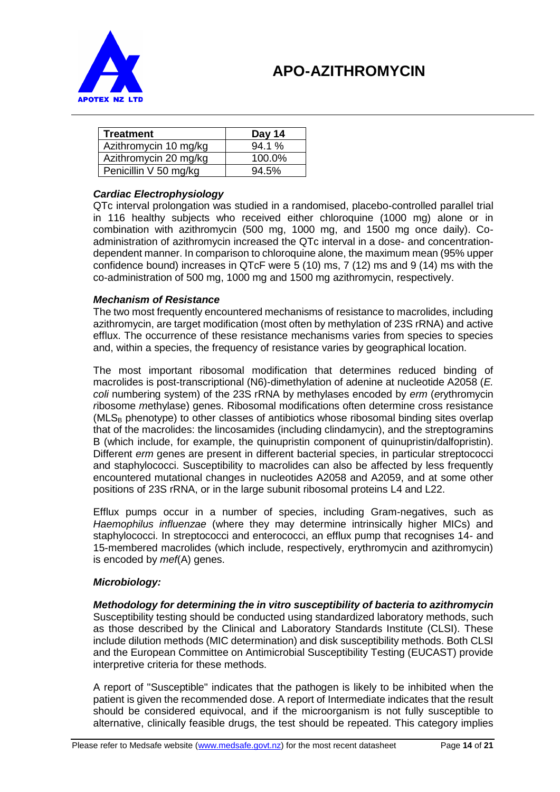

| <b>Treatment</b>      | Day 14   |
|-----------------------|----------|
| Azithromycin 10 mg/kg | 94.1 %   |
| Azithromycin 20 mg/kg | 100.0%   |
| Penicillin V 50 mg/kg | $94.5\%$ |

### *Cardiac Electrophysiology*

QTc interval prolongation was studied in a randomised, placebo-controlled parallel trial in 116 healthy subjects who received either chloroquine (1000 mg) alone or in combination with azithromycin (500 mg, 1000 mg, and 1500 mg once daily). Coadministration of azithromycin increased the QTc interval in a dose- and concentrationdependent manner. In comparison to chloroquine alone, the maximum mean (95% upper confidence bound) increases in QTcF were 5 (10) ms, 7 (12) ms and 9 (14) ms with the co-administration of 500 mg, 1000 mg and 1500 mg azithromycin, respectively.

#### *Mechanism of Resistance*

The two most frequently encountered mechanisms of resistance to macrolides, including azithromycin, are target modification (most often by methylation of 23S rRNA) and active efflux. The occurrence of these resistance mechanisms varies from species to species and, within a species, the frequency of resistance varies by geographical location.

The most important ribosomal modification that determines reduced binding of macrolides is post-transcriptional (N6)-dimethylation of adenine at nucleotide A2058 (*E. coli* numbering system) of the 23S rRNA by methylases encoded by *erm* (*e*rythromycin *r*ibosome *m*ethylase) genes. Ribosomal modifications often determine cross resistance  $(MLS_B$  phenotype) to other classes of antibiotics whose ribosomal binding sites overlap that of the macrolides: the lincosamides (including clindamycin), and the streptogramins B (which include, for example, the quinupristin component of quinupristin/dalfopristin). Different *erm* genes are present in different bacterial species, in particular streptococci and staphylococci. Susceptibility to macrolides can also be affected by less frequently encountered mutational changes in nucleotides A2058 and A2059, and at some other positions of 23S rRNA, or in the large subunit ribosomal proteins L4 and L22.

Efflux pumps occur in a number of species, including Gram-negatives, such as *Haemophilus influenzae* (where they may determine intrinsically higher MICs) and staphylococci. In streptococci and enterococci, an efflux pump that recognises 14- and 15-membered macrolides (which include, respectively, erythromycin and azithromycin) is encoded by *mef*(A) genes.

#### *Microbiology:*

*Methodology for determining the in vitro susceptibility of bacteria to azithromycin* Susceptibility testing should be conducted using standardized laboratory methods, such as those described by the Clinical and Laboratory Standards Institute (CLSI). These include dilution methods (MIC determination) and disk susceptibility methods. Both CLSI and the European Committee on Antimicrobial Susceptibility Testing (EUCAST) provide interpretive criteria for these methods.

A report of "Susceptible" indicates that the pathogen is likely to be inhibited when the patient is given the recommended dose. A report of Intermediate indicates that the result should be considered equivocal, and if the microorganism is not fully susceptible to alternative, clinically feasible drugs, the test should be repeated. This category implies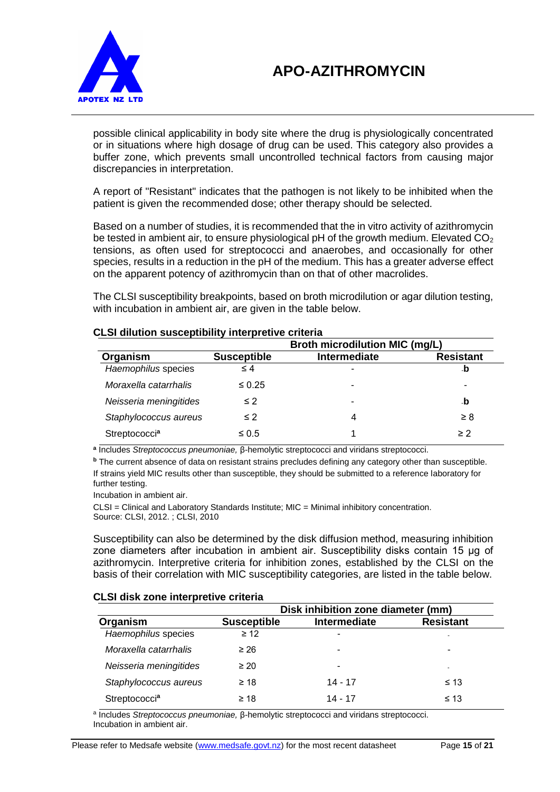

possible clinical applicability in body site where the drug is physiologically concentrated or in situations where high dosage of drug can be used. This category also provides a buffer zone, which prevents small uncontrolled technical factors from causing major discrepancies in interpretation.

A report of "Resistant" indicates that the pathogen is not likely to be inhibited when the patient is given the recommended dose; other therapy should be selected.

Based on a number of studies, it is recommended that the in vitro activity of azithromycin be tested in ambient air, to ensure physiological pH of the growth medium. Elevated  $CO<sub>2</sub>$ tensions, as often used for streptococci and anaerobes, and occasionally for other species, results in a reduction in the pH of the medium. This has a greater adverse effect on the apparent potency of azithromycin than on that of other macrolides.

The CLSI susceptibility breakpoints, based on broth microdilution or agar dilution testing, with incubation in ambient air, are given in the table below.

|                        |                    | Broth microdilution MIC (mg/L) |                  |
|------------------------|--------------------|--------------------------------|------------------|
| Organism               | <b>Susceptible</b> | Intermediate                   | <b>Resistant</b> |
| Haemophilus species    | $\leq 4$           |                                | ٠D               |
| Moraxella catarrhalis  | $\leq 0.25$        |                                |                  |
| Neisseria meningitides | $\leq 2$           | -                              | -b               |
| Staphylococcus aureus  | $\leq$ 2           | 4                              | $\geq 8$         |
| Streptococcia          | $\leq 0.5$         |                                | $\geq$ 2         |

#### **CLSI dilution susceptibility interpretive criteria**

**a** Includes *Streptococcus pneumoniae,* β-hemolytic streptococci and viridans streptococci.

**<sup>b</sup>** The current absence of data on resistant strains precludes defining any category other than susceptible. If strains yield MIC results other than susceptible, they should be submitted to a reference laboratory for further testing.

Incubation in ambient air.

CLSI = Clinical and Laboratory Standards Institute; MIC = Minimal inhibitory concentration. Source: CLSI, 2012. ; CLSI, 2010

Susceptibility can also be determined by the disk diffusion method, measuring inhibition zone diameters after incubation in ambient air. Susceptibility disks contain 15 μg of azithromycin. Interpretive criteria for inhibition zones, established by the CLSI on the basis of their correlation with MIC susceptibility categories, are listed in the table below.

#### **CLSI disk zone interpretive criteria**

|                        |                    | Disk inhibition zone diameter (mm) |                  |  |
|------------------------|--------------------|------------------------------------|------------------|--|
| Organism               | <b>Susceptible</b> | Intermediate                       | <b>Resistant</b> |  |
| Haemophilus species    | $\geq$ 12          | -                                  |                  |  |
| Moraxella catarrhalis  | $\geq 26$          | ۰                                  | ۰                |  |
| Neisseria meningitides | $\geq 20$          | ۰                                  | ٠                |  |
| Staphylococcus aureus  | $\geq 18$          | $14 - 17$                          | $\leq 13$        |  |
| Streptococcia          | $\geq 18$          | 14 - 17                            | $\leq 13$        |  |

a Includes *Streptococcus pneumoniae,* β-hemolytic streptococci and viridans streptococci. Incubation in ambient air.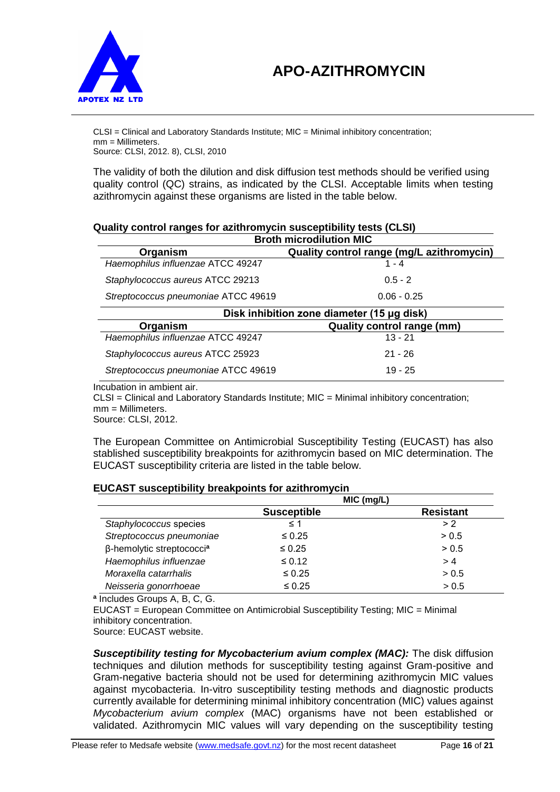



CLSI = Clinical and Laboratory Standards Institute; MIC = Minimal inhibitory concentration; mm = Millimeters. Source: CLSI, 2012. 8), CLSI, 2010

The validity of both the dilution and disk diffusion test methods should be verified using quality control (QC) strains, as indicated by the CLSI. Acceptable limits when testing azithromycin against these organisms are listed in the table below.

| <b>Broth microdilution MIC</b>             |                                           |  |
|--------------------------------------------|-------------------------------------------|--|
| Organism                                   | Quality control range (mg/L azithromycin) |  |
| Haemophilus influenzae ATCC 49247          | $1 - 4$                                   |  |
| Staphylococcus aureus ATCC 29213           | $0.5 - 2$                                 |  |
| Streptococcus pneumoniae ATCC 49619        | $0.06 - 0.25$                             |  |
| Disk inhibition zone diameter (15 µg disk) |                                           |  |
| Organism                                   | <b>Quality control range (mm)</b>         |  |
| Haemophilus influenzae ATCC 49247          | $13 - 21$                                 |  |
|                                            |                                           |  |
| Staphylococcus aureus ATCC 25923           | $21 - 26$                                 |  |

# **Quality control ranges for azithromycin susceptibility tests (CLSI)**

Incubation in ambient air.

CLSI = Clinical and Laboratory Standards Institute; MIC = Minimal inhibitory concentration; mm = Millimeters.

Source: CLSI, 2012.

The European Committee on Antimicrobial Susceptibility Testing (EUCAST) has also stablished susceptibility breakpoints for azithromycin based on MIC determination. The EUCAST susceptibility criteria are listed in the table below.

#### **EUCAST susceptibility breakpoints for azithromycin**

|                                       | MIC (mg/L)         |                  |
|---------------------------------------|--------------------|------------------|
|                                       | <b>Susceptible</b> | <b>Resistant</b> |
| Staphylococcus species                | $\leq 1$           | > 2              |
| Streptococcus pneumoniae              | $\leq 0.25$        | > 0.5            |
| β-hemolytic streptococci <sup>a</sup> | $\leq 0.25$        | > 0.5            |
| Haemophilus influenzae                | $\leq 0.12$        | >4               |
| Moraxella catarrhalis                 | $\leq 0.25$        | > 0.5            |
| Neisseria gonorrhoeae                 | $\leq 0.25$        | > 0.5            |

**a** Includes Groups A, B, C, G.

EUCAST = European Committee on Antimicrobial Susceptibility Testing; MIC = Minimal inhibitory concentration.

Source: EUCAST website.

*Susceptibility testing for Mycobacterium avium complex (MAC):* The disk diffusion techniques and dilution methods for susceptibility testing against Gram-positive and Gram-negative bacteria should not be used for determining azithromycin MIC values against mycobacteria. In-vitro susceptibility testing methods and diagnostic products currently available for determining minimal inhibitory concentration (MIC) values against *Mycobacterium avium complex* (MAC) organisms have not been established or validated. Azithromycin MIC values will vary depending on the susceptibility testing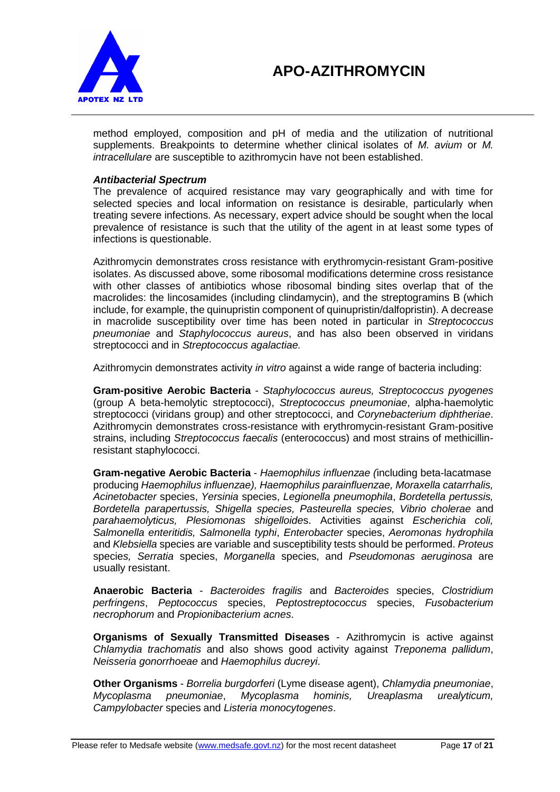

method employed, composition and pH of media and the utilization of nutritional supplements. Breakpoints to determine whether clinical isolates of *M. avium* or *M. intracellulare* are susceptible to azithromycin have not been established.

#### *Antibacterial Spectrum*

The prevalence of acquired resistance may vary geographically and with time for selected species and local information on resistance is desirable, particularly when treating severe infections. As necessary, expert advice should be sought when the local prevalence of resistance is such that the utility of the agent in at least some types of infections is questionable.

Azithromycin demonstrates cross resistance with erythromycin-resistant Gram-positive isolates. As discussed above, some ribosomal modifications determine cross resistance with other classes of antibiotics whose ribosomal binding sites overlap that of the macrolides: the lincosamides (including clindamycin), and the streptogramins B (which include, for example, the quinupristin component of quinupristin/dalfopristin). A decrease in macrolide susceptibility over time has been noted in particular in *Streptococcus pneumoniae* and *Staphylococcus aureus*, and has also been observed in viridans streptococci and in *Streptococcus agalactiae.*

Azithromycin demonstrates activity *in vitro* against a wide range of bacteria including:

**Gram-positive Aerobic Bacteria** - *Staphylococcus aureus, Streptococcus pyogenes*  (group A beta-hemolytic streptococci), *Streptococcus pneumoniae*, alpha-haemolytic streptococci (viridans group) and other streptococci, and *Corynebacterium diphtheriae*. Azithromycin demonstrates cross-resistance with erythromycin-resistant Gram-positive strains, including *Streptococcus faecalis* (enterococcus) and most strains of methicillinresistant staphylococci.

**Gram-negative Aerobic Bacteria** - *Haemophilus influenzae (*including beta-lacatmase producing *Haemophilus influenzae), Haemophilus parainfluenzae, Moraxella catarrhalis, Acinetobacter* species, *Yersinia* species, *Legionella pneumophila*, *Bordetella pertussis, Bordetella parapertussis, Shigella species, Pasteurella species, Vibrio cholerae* and *parahaemolyticus, Plesiomonas shigelloide*s. Activities against *Escherichia coli, Salmonella enteritidis, Salmonella typhi*, *Enterobacter* species, *Aeromonas hydrophila*  and *Klebsiella* species are variable and susceptibility tests should be performed. *Proteus*  specie*s, Serratia* species, *Morganella* species, and *Pseudomonas aeruginosa* are usually resistant.

**Anaerobic Bacteria** - *Bacteroides fragilis* and *Bacteroides* species, *Clostridium perfringens*, *Peptococcus* species, *Peptostreptococcus* species, *Fusobacterium necrophorum* and *Propionibacterium acnes*.

**Organisms of Sexually Transmitted Diseases** - Azithromycin is active against *Chlamydia trachomatis* and also shows good activity against *Treponema pallidum*, *Neisseria gonorrhoeae* and *Haemophilus ducreyi*.

**Other Organisms** - *Borrelia burgdorferi* (Lyme disease agent), *Chlamydia pneumoniae*, *Mycoplasma pneumoniae*, *Mycoplasma hominis, Ureaplasma urealyticum, Campylobacter* species and *Listeria monocytogenes*.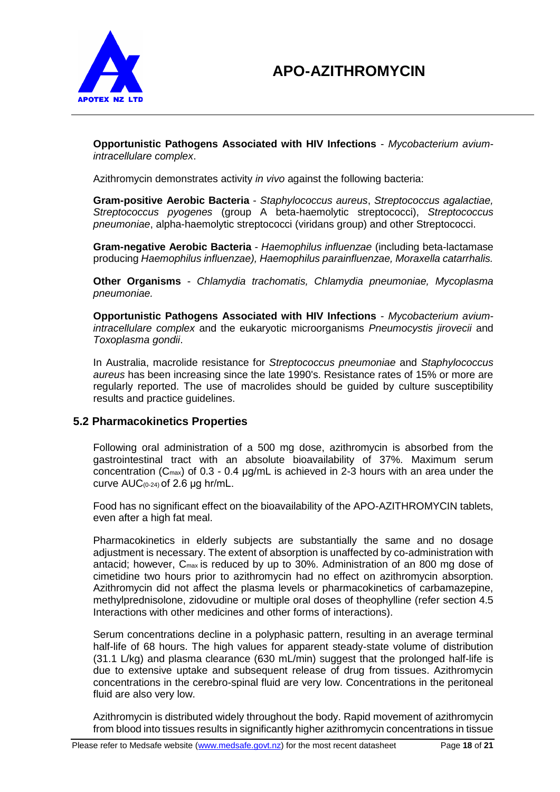

**Opportunistic Pathogens Associated with HIV Infections** - *Mycobacterium aviumintracellulare complex*.

Azithromycin demonstrates activity *in vivo* against the following bacteria:

**Gram-positive Aerobic Bacteria** - *Staphylococcus aureus*, *Streptococcus agalactiae, Streptococcus pyogenes* (group A beta-haemolytic streptococci), *Streptococcus pneumoniae*, alpha-haemolytic streptococci (viridans group) and other Streptococci.

**Gram-negative Aerobic Bacteria** - *Haemophilus influenzae* (including beta-lactamase producing *Haemophilus influenzae), Haemophilus parainfluenzae, Moraxella catarrhalis.*

**Other Organisms** - *Chlamydia trachomatis, Chlamydia pneumoniae, Mycoplasma pneumoniae.*

**Opportunistic Pathogens Associated with HIV Infections** - *Mycobacterium aviumintracellulare complex* and the eukaryotic microorganisms *Pneumocystis jirovecii* and *Toxoplasma gondii*.

In Australia, macrolide resistance for *Streptococcus pneumoniae* and *Staphylococcus aureus* has been increasing since the late 1990's. Resistance rates of 15% or more are regularly reported. The use of macrolides should be guided by culture susceptibility results and practice guidelines.

## **5.2 Pharmacokinetics Properties**

Following oral administration of a 500 mg dose, azithromycin is absorbed from the gastrointestinal tract with an absolute bioavailability of 37%. Maximum serum concentration ( $C_{\text{max}}$ ) of 0.3 - 0.4  $\mu$ g/mL is achieved in 2-3 hours with an area under the curve AUC(0-24) of 2.6 μg hr/mL.

Food has no significant effect on the bioavailability of the APO-AZITHROMYCIN tablets, even after a high fat meal.

Pharmacokinetics in elderly subjects are substantially the same and no dosage adjustment is necessary. The extent of absorption is unaffected by co-administration with antacid; however, Cmax is reduced by up to 30%. Administration of an 800 mg dose of cimetidine two hours prior to azithromycin had no effect on azithromycin absorption. Azithromycin did not affect the plasma levels or pharmacokinetics of carbamazepine, methylprednisolone, zidovudine or multiple oral doses of theophylline (refer section 4.5 Interactions with other medicines and other forms of interactions).

Serum concentrations decline in a polyphasic pattern, resulting in an average terminal half-life of 68 hours. The high values for apparent steady-state volume of distribution (31.1 L/kg) and plasma clearance (630 mL/min) suggest that the prolonged half-life is due to extensive uptake and subsequent release of drug from tissues. Azithromycin concentrations in the cerebro-spinal fluid are very low. Concentrations in the peritoneal fluid are also very low.

Azithromycin is distributed widely throughout the body. Rapid movement of azithromycin from blood into tissues results in significantly higher azithromycin concentrations in tissue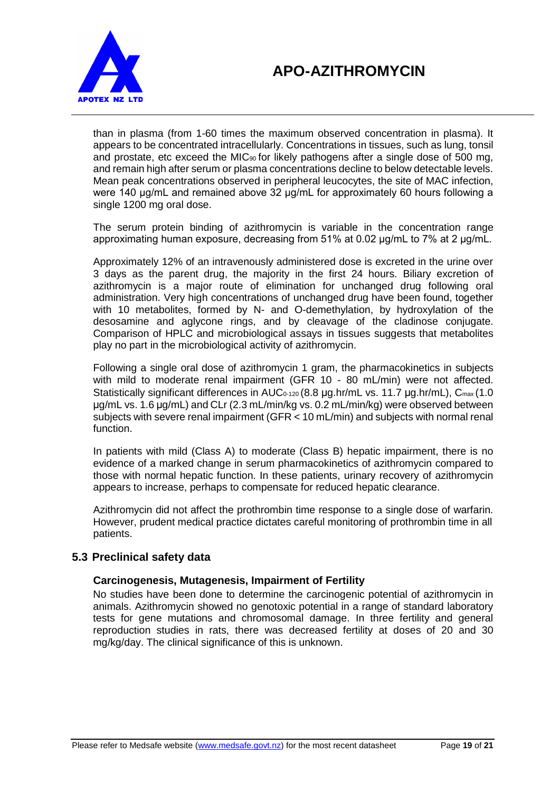

than in plasma (from 1-60 times the maximum observed concentration in plasma). It appears to be concentrated intracellularly. Concentrations in tissues, such as lung, tonsil and prostate, etc exceed the MIC $_{90}$  for likely pathogens after a single dose of 500 mg, and remain high after serum or plasma concentrations decline to below detectable levels. Mean peak concentrations observed in peripheral leucocytes, the site of MAC infection, were 140 μg/mL and remained above 32 μg/mL for approximately 60 hours following a single 1200 mg oral dose.

The serum protein binding of azithromycin is variable in the concentration range approximating human exposure, decreasing from 51% at 0.02 μg/mL to 7% at 2 μg/mL.

Approximately 12% of an intravenously administered dose is excreted in the urine over 3 days as the parent drug, the majority in the first 24 hours. Biliary excretion of azithromycin is a major route of elimination for unchanged drug following oral administration. Very high concentrations of unchanged drug have been found, together with 10 metabolites, formed by N- and O-demethylation, by hydroxylation of the desosamine and aglycone rings, and by cleavage of the cladinose conjugate. Comparison of HPLC and microbiological assays in tissues suggests that metabolites play no part in the microbiological activity of azithromycin.

Following a single oral dose of azithromycin 1 gram, the pharmacokinetics in subjects with mild to moderate renal impairment (GFR 10 - 80 mL/min) were not affected. Statistically significant differences in AUC<sub>0-120</sub> (8.8 μg.hr/mL vs. 11.7 μg.hr/mL), C<sub>max</sub> (1.0 μg/mL vs. 1.6 μg/mL) and CLr (2.3 mL/min/kg vs. 0.2 mL/min/kg) were observed between subjects with severe renal impairment (GFR < 10 mL/min) and subjects with normal renal function.

In patients with mild (Class A) to moderate (Class B) hepatic impairment, there is no evidence of a marked change in serum pharmacokinetics of azithromycin compared to those with normal hepatic function. In these patients, urinary recovery of azithromycin appears to increase, perhaps to compensate for reduced hepatic clearance.

Azithromycin did not affect the prothrombin time response to a single dose of warfarin. However, prudent medical practice dictates careful monitoring of prothrombin time in all patients.

## **5.3 Preclinical safety data**

## **Carcinogenesis, Mutagenesis, Impairment of Fertility**

No studies have been done to determine the carcinogenic potential of azithromycin in animals. Azithromycin showed no genotoxic potential in a range of standard laboratory tests for gene mutations and chromosomal damage. In three fertility and general reproduction studies in rats, there was decreased fertility at doses of 20 and 30 mg/kg/day. The clinical significance of this is unknown.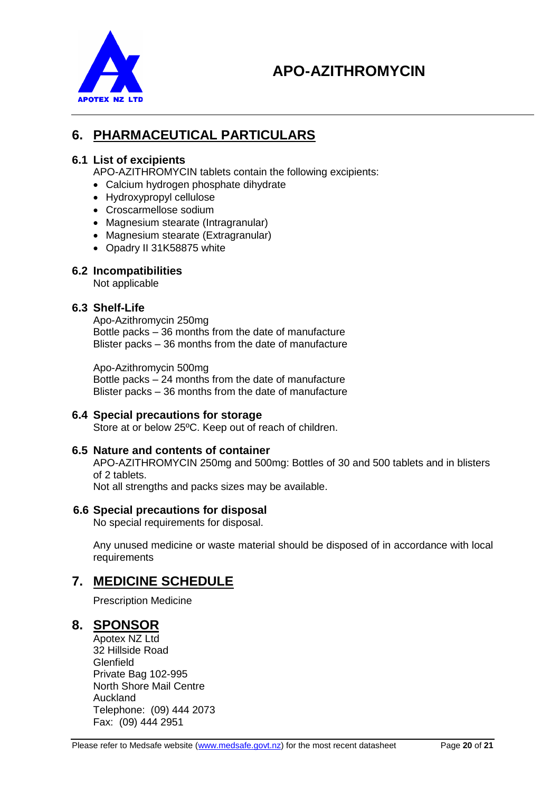

# **6. PHARMACEUTICAL PARTICULARS**

## **6.1 List of excipients**

APO-AZITHROMYCIN tablets contain the following excipients:

- Calcium hydrogen phosphate dihydrate
- Hydroxypropyl cellulose
- Croscarmellose sodium
- Magnesium stearate (Intragranular)
- Magnesium stearate (Extragranular)
- Opadry II 31K58875 white

### **6.2 Incompatibilities**

Not applicable

### **6.3 Shelf-Life**

Apo-Azithromycin 250mg Bottle packs – 36 months from the date of manufacture Blister packs – 36 months from the date of manufacture

Apo-Azithromycin 500mg Bottle packs – 24 months from the date of manufacture Blister packs – 36 months from the date of manufacture

#### **6.4 Special precautions for storage**

Store at or below 25ºC. Keep out of reach of children.

#### **6.5 Nature and contents of container**

APO-AZITHROMYCIN 250mg and 500mg: Bottles of 30 and 500 tablets and in blisters of 2 tablets.

Not all strengths and packs sizes may be available.

#### **6.6 Special precautions for disposal**

No special requirements for disposal.

Any unused medicine or waste material should be disposed of in accordance with local requirements

# **7. MEDICINE SCHEDULE**

Prescription Medicine

## **8. SPONSOR**

Apotex NZ Ltd 32 Hillside Road **Glenfield** Private Bag 102-995 North Shore Mail Centre Auckland Telephone: (09) 444 2073 Fax: (09) 444 2951